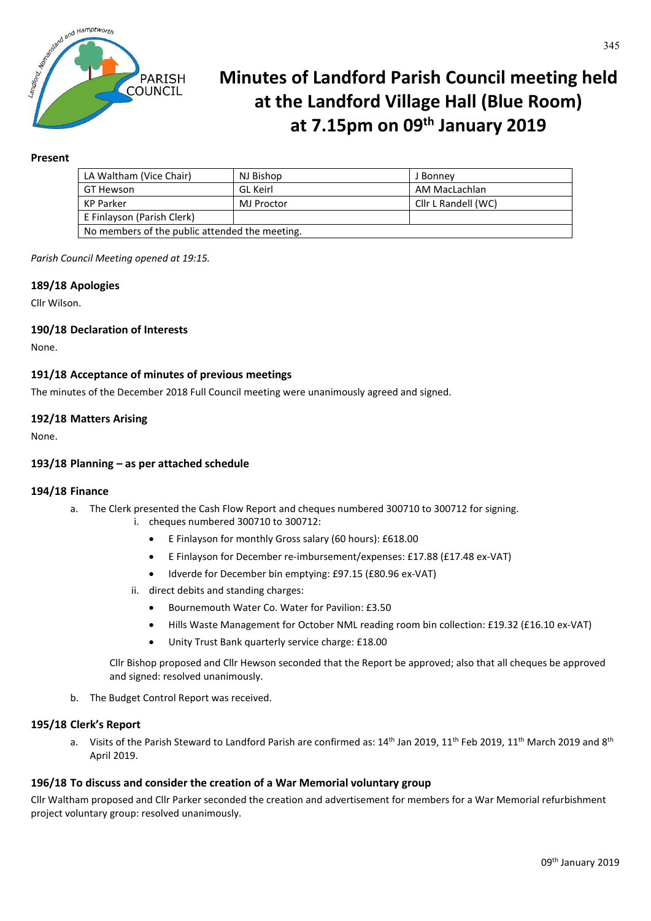

# **Minutes of Landford Parish Council meeting held at the Landford Village Hall (Blue Room) at 7.15pm on 09th January 2019**

## **Present**

| LA Waltham (Vice Chair)                        | NJ Bishop       | J Bonney            |
|------------------------------------------------|-----------------|---------------------|
| GT Hewson                                      | <b>GL</b> Keirl | AM MacLachlan       |
| KP Parker                                      | MJ Proctor      | Cllr L Randell (WC) |
| E Finlayson (Parish Clerk)                     |                 |                     |
| No members of the public attended the meeting. |                 |                     |

*Parish Council Meeting opened at 19:15.*

#### **189/18 Apologies**

Cllr Wilson.

## **190/18 Declaration of Interests**

None.

## **191/18 Acceptance of minutes of previous meetings**

The minutes of the December 2018 Full Council meeting were unanimously agreed and signed.

#### **192/18 Matters Arising**

None.

#### **193/18 Planning – as per attached schedule**

#### **194/18 Finance**

- a. The Clerk presented the Cash Flow Report and cheques numbered 300710 to 300712 for signing.
	- i. cheques numbered 300710 to 300712:
		- E Finlayson for monthly Gross salary (60 hours): £618.00
		- E Finlayson for December re-imbursement/expenses: £17.88 (£17.48 ex-VAT)
		- Idverde for December bin emptying: £97.15 (£80.96 ex-VAT)
	- ii. direct debits and standing charges:
		- Bournemouth Water Co. Water for Pavilion: £3.50
		- Hills Waste Management for October NML reading room bin collection: £19.32 (£16.10 ex-VAT)
		- Unity Trust Bank quarterly service charge: £18.00

Cllr Bishop proposed and Cllr Hewson seconded that the Report be approved; also that all cheques be approved and signed: resolved unanimously.

b. The Budget Control Report was received.

#### **195/18 Clerk's Report**

a. Visits of the Parish Steward to Landford Parish are confirmed as:  $14^{th}$  Jan 2019,  $11^{th}$  Feb 2019,  $11^{th}$  March 2019 and 8<sup>th</sup> April 2019.

#### **196/18 To discuss and consider the creation of a War Memorial voluntary group**

Cllr Waltham proposed and Cllr Parker seconded the creation and advertisement for members for a War Memorial refurbishment project voluntary group: resolved unanimously.